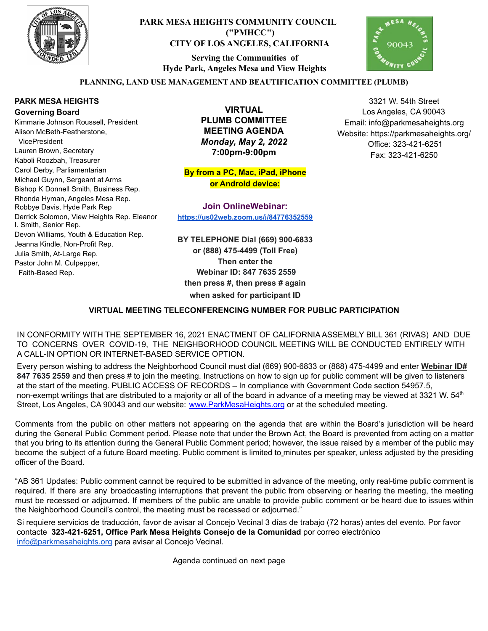

## **PARK MESA HEIGHTS COMMUNITY COUNCIL ("PMHCC") CITY OF LOS ANGELES, CALIFORNIA**

**Serving the Communities of Hyde Park, Angeles Mesa and View Heights**



3321 W. 54th Street Los Angeles, CA 90043 Email: info@parkmesaheights.org Website: https://parkmesaheights.org/ Office: 323-421-6251 Fax: 323-421-6250

### **PLANNING, LAND USE MANAGEMENT AND BEAUTIFICATION COMMITTEE (PLUMB)**

#### **PARK MESA HEIGHTS Governing Board**

Kimmarie Johnson Roussell, President Alison McBeth-Featherstone, VicePresident Lauren Brown, Secretary Kaboli Roozbah, Treasurer Carol Derby, Parliamentarian Michael Guynn, Sergeant at Arms Bishop K Donnell Smith, Business Rep. Rhonda Hyman, Angeles Mesa Rep. Robbye Davis, Hyde Park Rep Derrick Solomon, View Heights Rep. Eleanor I. Smith, Senior Rep. Devon Williams, Youth & Education Rep. Jeanna Kindle, Non-Profit Rep. Julia Smith, At-Large Rep. Pastor John M. Culpepper, Faith-Based Rep.

**VIRTUAL PLUMB COMMITTEE MEETING AGENDA** *Monday, May 2, 2022* **7:00pm-9:00pm**

**By from a PC, Mac, iPad, iPhone or Android device:**

**Join OnlineWebinar: <https://us02web.zoom.us/j/84776352559>**

**BY TELEPHONE Dial (669) 900-6833 or (888) 475-4499 (Toll Free) Then enter the Webinar ID: 847 7635 2559 then press #, then press # again when asked for participant ID**

#### **VIRTUAL MEETING TELECONFERENCING NUMBER FOR PUBLIC PARTICIPATION**

IN CONFORMITY WITH THE SEPTEMBER 16, 2021 ENACTMENT OF CALIFORNIA ASSEMBLY BILL 361 (RIVAS) AND DUE TO CONCERNS OVER COVID-19, THE NEIGHBORHOOD COUNCIL MEETING WILL BE CONDUCTED ENTIRELY WITH A CALL-IN OPTION OR INTERNET-BASED SERVICE OPTION.

Every person wishing to address the Neighborhood Council must dial (669) 900-6833 or (888) 475-4499 and enter **Webinar ID# 847 7635 2559** and then press # to join the meeting. Instructions on how to sign up for public comment will be given to listeners at the start of the meeting. PUBLIC ACCESS OF RECORDS – In compliance with Government Code section 54957.5, non-exempt writings that are distributed to a majority or all of the board in advance of a meeting may be viewed at 3321 W. 54<sup>th</sup> Street, Los Angeles, CA 90043 and our website: [www.ParkMesaHeights.org](http://www.parkmesaheights.org/) or at the scheduled meeting.

Comments from the public on other matters not appearing on the agenda that are within the Board's jurisdiction will be heard during the General Public Comment period. Please note that under the Brown Act, the Board is prevented from acting on a matter that you bring to its attention during the General Public Comment period; however, the issue raised by a member of the public may become the subject of a future Board meeting. Public comment is limited to minutes per speaker, unless adjusted by the presiding officer of the Board.

"AB 361 Updates: Public comment cannot be required to be submitted in advance of the meeting, only real-time public comment is required. If there are any broadcasting interruptions that prevent the public from observing or hearing the meeting, the meeting must be recessed or adjourned. If members of the public are unable to provide public comment or be heard due to issues within the Neighborhood Council's control, the meeting must be recessed or adjourned."

Si requiere servicios de traducción, favor de avisar al Concejo Vecinal 3 días de trabajo (72 horas) antes del evento. Por favor contacte **323-421-6251, Office Park Mesa Heights Consejo de la Comunidad** por corre[o](mailto:XXX@NeighborhoodCouncil.org) electrónico [info@parkmesaheights.org](mailto:info@parkmesaheights.org) para avisar al Concejo Vecinal.

Agenda continued on next page